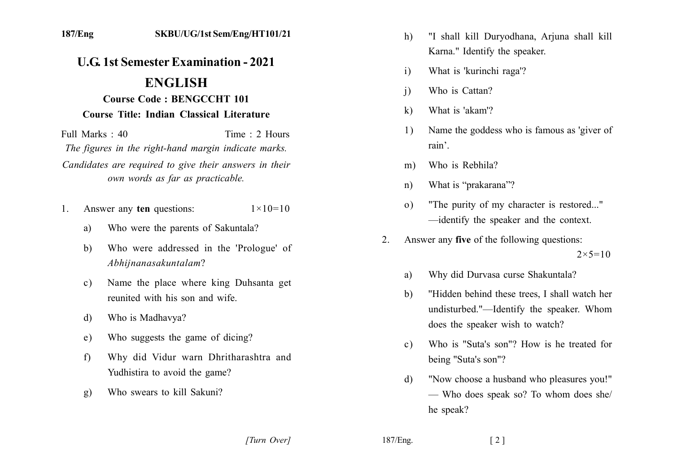## **U.G. 1st Semester Examination - 2021**

## **ENGLISH**

## **Course Code: BENGCCHT 101**

## Course Title: Indian Classical Literature

Full Marks  $\cdot$  40 Time  $\cdot$  2 Hours The figures in the right-hand margin indicate marks. Candidates are required to give their answers in their own words as far as practicable.

- Answer any ten questions:  $1 \times 10 = 10$  $1$ 
	- Who were the parents of Sakuntala? a)
	- Who were addressed in the 'Prologue' of  $h)$ Abhijnanasakuntalam?
	- Name the place where king Duhsanta get  $c)$ reunited with his son and wife
	- Who is Madhavya?  $\mathbf{d}$
	- Who suggests the game of dicing? e)
	- Why did Vidur warn Dhritharashtra and  $f$ Yudhistira to avoid the game?
	- Who swears to kill Sakuni?  $g)$
- "I shall kill Duryodhana, Arjuna shall kill  $h$ ) Karna." Identify the speaker.
- What is 'kurinchi raga'?  $\mathbf{i}$
- Who is Cattan?  $\overline{1}$
- What is 'akam'?  $\bf k$
- Name the goddess who is famous as 'giver of 1) rain'.
- Who is Rebhila?  $m)$
- What is "prakarana"?  $n)$
- "The purity of my character is restored..."  $\Omega$ ) -identify the speaker and the context.
- Answer any five of the following questions:  $2^{\circ}$  $2 \times 5 = 10$ 
	- Why did Durvasa curse Shakuntala? a)
	- "Hidden behind these trees, I shall watch her  $b)$ undisturbed."—Identify the speaker. Whom does the speaker wish to watch?
	- Who is "Suta's son"? How is he treated for  $c$ ) being "Suta's son"?
	- "Now choose a husband who pleasures you!" d) - Who does speak so? To whom does she/ he speak?

187/Eng.